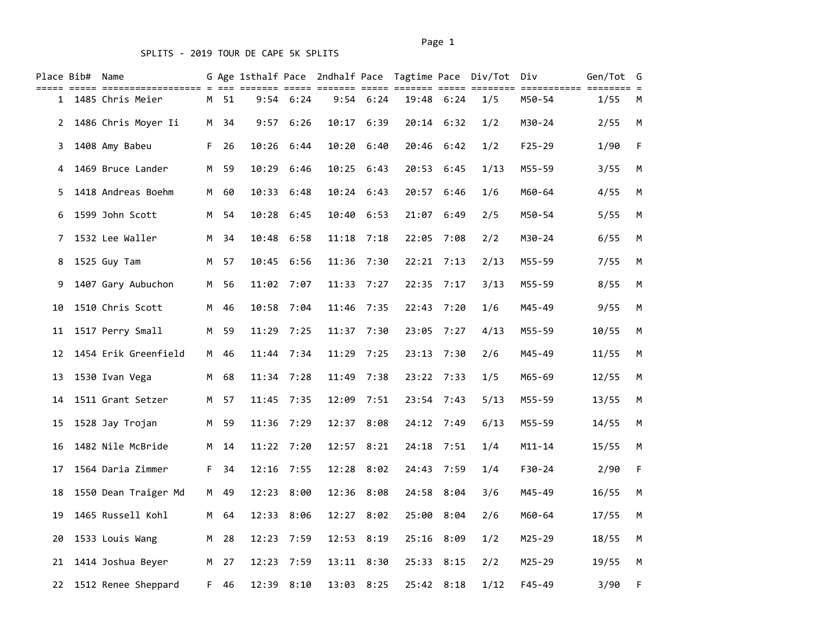|                | Place Bib# Name |                      |    |      |       |               |       |             | G Age 1sthalf Pace 2ndhalf Pace Tagtime Pace Div/Tot |            |      | Div        | Gen/Tot | G  |
|----------------|-----------------|----------------------|----|------|-------|---------------|-------|-------------|------------------------------------------------------|------------|------|------------|---------|----|
| 1              |                 | 1485 Chris Meier     |    | M 51 |       | $9:54$ $6:24$ |       | $9:54$ 6:24 |                                                      | 19:48 6:24 | 1/5  | M50-54     | 1/55    | M  |
| $\overline{2}$ |                 | 1486 Chris Moyer Ii  |    | M 34 | 9:57  | 6:26          |       | 10:17 6:39  | 20:14                                                | 6:32       | 1/2  | M30-24     | 2/55    | М  |
| 3              |                 | 1408 Amy Babeu       | F. | 26   | 10:26 | 6:44          | 10:20 | 6:40        | 20:46                                                | 6:42       | 1/2  | $F25 - 29$ | 1/90    | F  |
| 4              |                 | 1469 Bruce Lander    | M  | 59   |       | 10:29 6:46    |       | 10:25 6:43  | 20:53                                                | 6:45       | 1/13 | M55-59     | 3/55    | М  |
| 5.             |                 | 1418 Andreas Boehm   | M  | 60   |       | 10:33 6:48    |       | 10:24 6:43  |                                                      | 20:57 6:46 | 1/6  | M60-64     | 4/55    | M  |
| 6              |                 | 1599 John Scott      | M  | 54   | 10:28 | 6:45          | 10:40 | 6:53        | 21:07                                                | 6:49       | 2/5  | M50-54     | 5/55    | М  |
| 7              |                 | 1532 Lee Waller      | M  | 34   | 10:48 | 6:58          | 11:18 | 7:18        | 22:05                                                | 7:08       | 2/2  | M30-24     | 6/55    | М  |
| 8              |                 | 1525 Guy Tam         | M  | 57   |       | 10:45 6:56    | 11:36 | 7:30        | 22:21                                                | 7:13       | 2/13 | M55-59     | 7/55    | M  |
| 9              |                 | 1407 Gary Aubuchon   | M  | 56   | 11:02 | 7:07          | 11:33 | 7:27        | 22:35                                                | 7:17       | 3/13 | M55-59     | 8/55    | М  |
| 10             |                 | 1510 Chris Scott     | M  | 46   | 10:58 | 7:04          | 11:46 | 7:35        | 22:43                                                | 7:20       | 1/6  | M45-49     | 9/55    | М  |
| 11             |                 | 1517 Perry Small     | M  | 59   |       | 11:29 7:25    |       | 11:37 7:30  | 23:05                                                | 7:27       | 4/13 | M55-59     | 10/55   | M  |
| 12             |                 | 1454 Erik Greenfield | M  | 46   |       | 11:44 7:34    | 11:29 | 7:25        | 23:13                                                | 7:30       | 2/6  | M45-49     | 11/55   | М  |
| 13             |                 | 1530 Ivan Vega       | M  | 68   |       | 11:34 7:28    | 11:49 | 7:38        | 23:22                                                | 7:33       | 1/5  | M65-69     | 12/55   | М  |
| 14             |                 | 1511 Grant Setzer    | M  | 57   |       | 11:45 7:35    | 12:09 | 7:51        |                                                      | 23:54 7:43 | 5/13 | M55-59     | 13/55   | M  |
| 15             |                 | 1528 Jay Trojan      | M  | 59   |       | 11:36 7:29    | 12:37 | 8:08        | 24:12                                                | 7:49       | 6/13 | M55-59     | 14/55   | М  |
| 16             |                 | 1482 Nile McBride    | M  | 14   |       | 11:22 7:20    | 12:57 | 8:21        | 24:18                                                | 7:51       | 1/4  | M11-14     | 15/55   | М  |
| 17             |                 | 1564 Daria Zimmer    | F. | 34   |       | 12:16 7:55    |       | 12:28 8:02  | 24:43                                                | 7:59       | 1/4  | $F30-24$   | 2/90    | F. |
| 18             |                 | 1550 Dean Traiger Md | M  | 49   |       | 12:23 8:00    | 12:36 | 8:08        | 24:58                                                | 8:04       | 3/6  | M45-49     | 16/55   | М  |
| 19             |                 | 1465 Russell Kohl    | M  | 64   | 12:33 | 8:06          | 12:27 | 8:02        | 25:00                                                | 8:04       | 2/6  | M60-64     | 17/55   | М  |
| 20             |                 | 1533 Louis Wang      | M  | 28   |       | 12:23 7:59    |       | 12:53 8:19  |                                                      | 25:16 8:09 | 1/2  | $M25 - 29$ | 18/55   | M  |
| 21             |                 | 1414 Joshua Beyer    | M  | 27   | 12:23 | 7:59          |       | 13:11 8:30  | 25:33                                                | 8:15       | 2/2  | $M25 - 29$ | 19/55   | М  |
| 22             |                 | 1512 Renee Sheppard  | F. | 46   |       | 12:39 8:10    |       | 13:03 8:25  |                                                      | 25:42 8:18 | 1/12 | $F45 - 49$ | 3/90    | F  |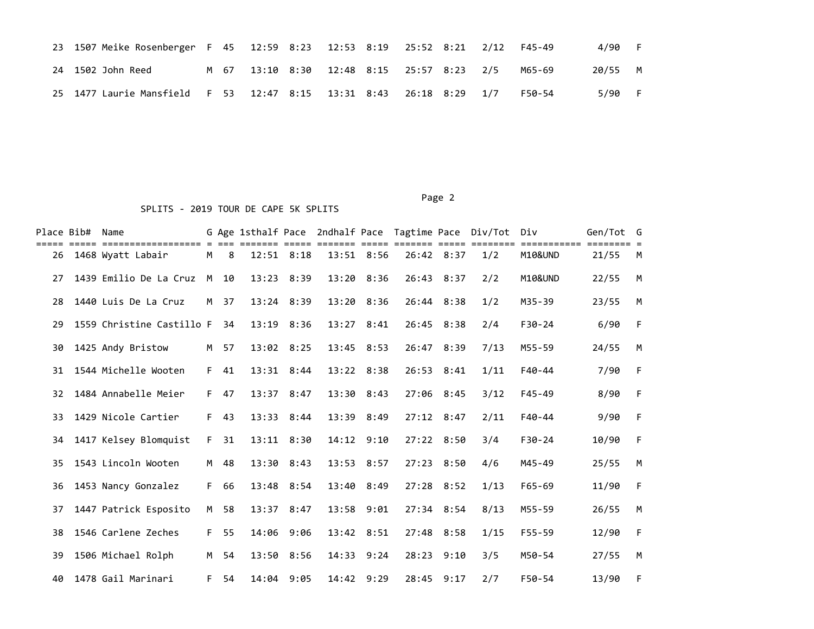|  | 23 1507 Meike Rosenberger F 45 12:59 8:23 12:53 8:19 25:52 8:21 2/12 F45-49 |  |                                           |  |  |  |        | 4/90    | - F - |
|--|-----------------------------------------------------------------------------|--|-------------------------------------------|--|--|--|--------|---------|-------|
|  | 24 1502 John Reed                                                           |  | M 67 13:10 8:30 12:48 8:15 25:57 8:23 2/5 |  |  |  | M65-69 | 20/55 M |       |
|  | 25 1477 Laurie Mansfield F 53 12:47 8:15 13:31 8:43 26:18 8:29 1/7          |  |                                           |  |  |  | F50-54 | 5/90    | - F - |

### Page 2 SPLITS - 2019 TOUR DE CAPE 5K SPLITS

| Place Bib# | Name                                   |     |    |                |                |       |                | G Age 1sthalf Pace 2ndhalf Pace Tagtime Pace Div/Tot |              |      | Div                | Gen/Tot G |   |
|------------|----------------------------------------|-----|----|----------------|----------------|-------|----------------|------------------------------------------------------|--------------|------|--------------------|-----------|---|
| 26         | -----------------<br>1468 Wyatt Labair | М   | 8  |                | $12:51$ $8:18$ |       | 13:51 8:56     | 26:42 8:37                                           |              | 1/2  | M10&UND            | 21/55     | M |
| 27         | 1439 Emilio De La Cruz                 | M   | 10 | 13:23          | 8:39           | 13:20 | 8:36           | 26:43                                                | 8:37         | 2/2  | <b>M10&amp;UND</b> | 22/55     | M |
| 28         | 1440 Luis De La Cruz                   | M . | 37 |                | 13:24 8:39     |       | $13:20$ $8:36$ | 26:44 8:38                                           |              | 1/2  | M35-39             | 23/55     | M |
| 29         | 1559 Christine Castillo F              |     | 34 |                | 13:19 8:36     |       | $13:27$ $8:41$ |                                                      | 26:45 8:38   | 2/4  | $F30 - 24$         | 6/90      | F |
| 30         | 1425 Andy Bristow                      | M   | 57 |                | $13:02$ $8:25$ |       | $13:45$ $8:53$ | 26:47 8:39                                           |              | 7/13 | M55-59             | 24/55     | M |
| 31         | 1544 Michelle Wooten                   | F.  | 41 |                | 13:31 8:44     |       | $13:22$ $8:38$ | 26:53 8:41                                           |              | 1/11 | $F40 - 44$         | 7/90      | F |
| 32         | 1484 Annabelle Meier                   | F.  | 47 | 13:37          | 8:47           |       | 13:30 8:43     | 27:06 8:45                                           |              | 3/12 | $F45 - 49$         | 8/90      | F |
| 33         | 1429 Nicole Cartier                    | F.  | 43 |                | $13:33$ $8:44$ |       | 13:39 8:49     | $27:12$ 8:47                                         |              | 2/11 | $F40 - 44$         | 9/90      | F |
| 34         | 1417 Kelsey Blomquist                  | F.  | 31 |                | $13:11$ $8:30$ |       | $14:12$ $9:10$ | 27:22 8:50                                           |              | 3/4  | $F30-24$           | 10/90     | F |
| 35         | 1543 Lincoln Wooten                    | M   | 48 |                | 13:30 8:43     |       | 13:53 8:57     | 27:23 8:50                                           |              | 4/6  | M45-49             | 25/55     | M |
| 36         | 1453 Nancy Gonzalez                    | F.  | 66 |                | 13:48 8:54     |       | 13:40 8:49     | 27:28 8:52                                           |              | 1/13 | $F65 - 69$         | 11/90     | F |
| 37         | 1447 Patrick Esposito                  | M   | 58 | $13:37$ $8:47$ |                | 13:58 | 9:01           |                                                      | $27:34$ 8:54 | 8/13 | M55-59             | 26/55     | M |
| 38         | 1546 Carlene Zeches                    | F.  | 55 |                | 14:06 9:06     |       | 13:42 8:51     |                                                      | 27:48 8:58   | 1/15 | $F55 - 59$         | 12/90     | F |
| 39         | 1506 Michael Rolph                     | M   | 54 |                | 13:50 8:56     | 14:33 | 9:24           | 28:23                                                | 9:10         | 3/5  | M50-54             | 27/55     | M |
| 40         | 1478 Gail Marinari                     | F.  | 54 |                | 14:04 9:05     | 14:42 | 9:29           | 28:45                                                | 9:17         | 2/7  | F50-54             | 13/90     | F |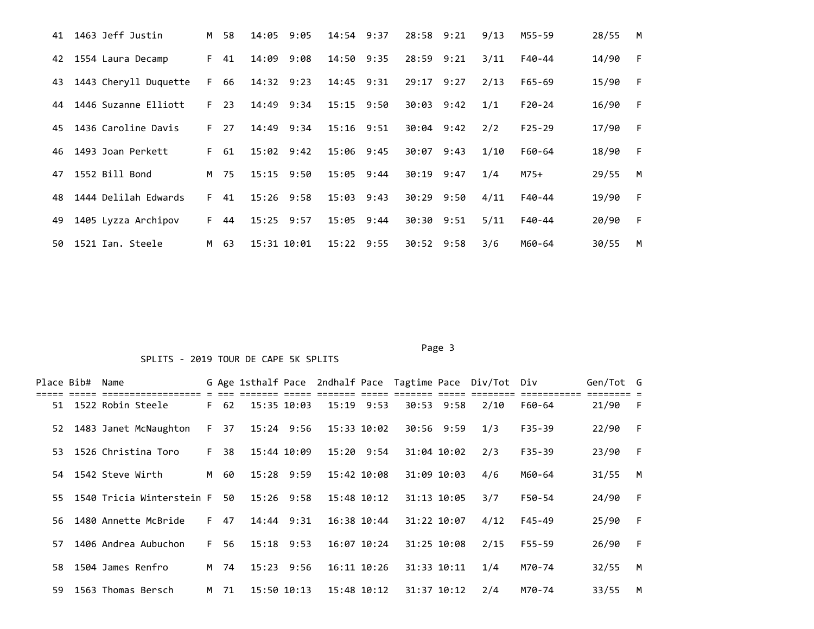| 41 | 1463 Jeff Justin      | M  | 58 | 14:05          | 9:05 | 14:54          | 9:37 | 28:58          | 9:21 | 9/13 | M55-59     | 28/55 | M |
|----|-----------------------|----|----|----------------|------|----------------|------|----------------|------|------|------------|-------|---|
| 42 | 1554 Laura Decamp     | F. | 41 | 14:09          | 9:08 | 14:50 9:35     |      | 28:59 9:21     |      | 3/11 | F40-44     | 14/90 | F |
| 43 | 1443 Cheryll Duquette | F. | 66 | 14:32 9:23     |      | 14:45 9:31     |      | 29:17          | 9:27 | 2/13 | $F65 - 69$ | 15/90 | F |
| 44 | 1446 Suzanne Elliott  | F. | 23 | 14:49 9:34     |      | 15:15 9:50     |      | $30:03$ $9:42$ |      | 1/1  | $F20-24$   | 16/90 | F |
| 45 | 1436 Caroline Davis   | F. | 27 | 14:49          | 9:34 | $15:16$ $9:51$ |      | $30:04$ 9:42   |      | 2/2  | $F25 - 29$ | 17/90 | F |
| 46 | 1493 Joan Perkett     | F. | 61 | 15:02          | 9:42 | 15:06          | 9:45 | 30:07          | 9:43 | 1/10 | F60-64     | 18/90 | F |
| 47 | 1552 Bill Bond        | M  | 75 | $15:15$ $9:50$ |      | 15:05          | 9:44 | 30:19          | 9:47 | 1/4  | $M75+$     | 29/55 | M |
| 48 | 1444 Delilah Edwards  | F. | 41 | $15:26$ 9:58   |      | 15:03          | 9:43 | 30:29          | 9:50 | 4/11 | F40-44     | 19/90 | F |
| 49 | 1405 Lyzza Archipov   | F. | 44 | $15:25$ 9:57   |      | 15:05          | 9:44 | 30:30 9:51     |      | 5/11 | F40-44     | 20/90 | F |
| 50 | 1521 Ian. Steele      | M  | 63 | 15:31 10:01    |      | $15:22$ 9:55   |      | 30:52          | 9:58 | 3/6  | M60-64     | 30/55 | M |

#### Page 3 and 2012 and 2012 and 2012 and 2012 and 2012 and 2012 and 2012 and 2012 and 2012 and 2012 and 2012 and

## SPLITS - 2019 TOUR DE CAPE 5K SPLITS

| Place Bib# |             | Name                                                    |      |                 |              |             |             |             |             | G Age 1sthalf Pace 2ndhalf Pace Tagtime Pace Div/Tot Div |        | Gen/Tot G |     |
|------------|-------------|---------------------------------------------------------|------|-----------------|--------------|-------------|-------------|-------------|-------------|----------------------------------------------------------|--------|-----------|-----|
|            | ----- ----- | essessessessesses e ess essesse<br>51 1522 Robin Steele | F 62 | 15:35 10:03     |              |             | 15:19 9:53  |             | 30:53 9:58  | 2/10                                                     | F60-64 | 21/90     | - F |
|            |             | 52 1483 Janet McNaughton                                |      | F 37 15:24 9:56 |              | 15:33 10:02 |             | 30:56 9:59  |             | 1/3                                                      | F35-39 | 22/90     | -F  |
|            |             | 53 1526 Christina Toro                                  | F 38 | 15:44 10:09     |              |             | 15:20 9:54  |             | 31:04 10:02 | 2/3                                                      | F35-39 | 23/90     | F.  |
|            |             | 54 1542 Steve Wirth                                     | M 60 | 15:28 9:59      |              |             | 15:42 10:08 |             | 31:09 10:03 | 4/6                                                      | M60-64 | 31/55     | M   |
|            |             | 55 1540 Tricia Winterstein F                            | 50   | 15:26 9:58      |              |             | 15:48 10:12 |             | 31:13 10:05 | 3/7                                                      | F50-54 | 24/90     | F   |
|            |             | 56 1480 Annette McBride                                 | F 47 |                 | 14:44 9:31   |             | 16:38 10:44 | 31:22 10:07 |             | 4/12                                                     | F45-49 | 25/90     | E   |
| 57.        |             | 1406 Andrea Aubuchon                                    | F 56 | 15:18 9:53      |              |             | 16:07 10:24 |             | 31:25 10:08 | 2/15                                                     | F55-59 | 26/90     | E   |
|            |             | 58 1504 James Renfro                                    | M 74 |                 | $15:23$ 9:56 |             | 16:11 10:26 | 31:33 10:11 |             | 1/4                                                      | M70-74 | 32/55     | M   |
|            |             | 59 1563 Thomas Bersch                                   | M 71 |                 | 15:50 10:13  |             | 15:48 10:12 | 31:37 10:12 |             | 2/4                                                      | M70-74 | 33/55     | M   |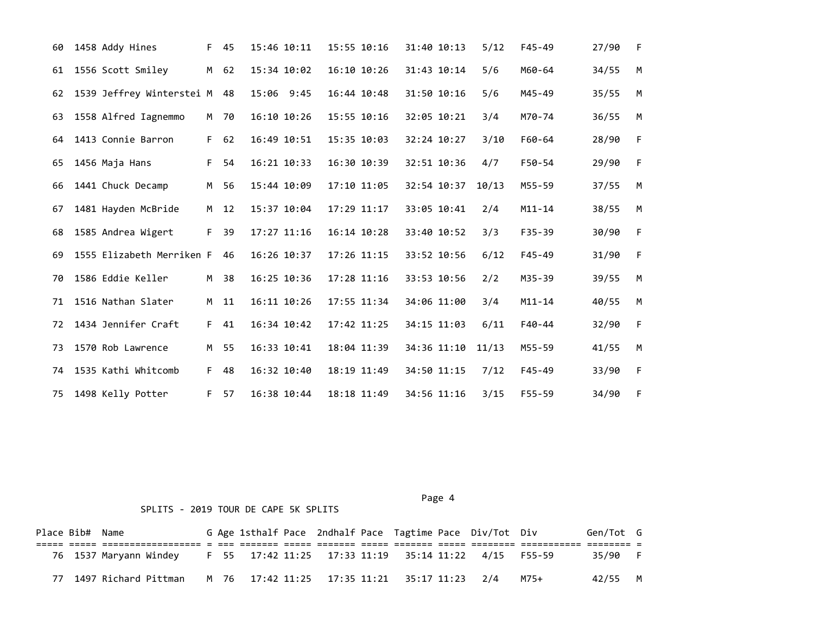| 60 | 1458 Addy Hines           | F. | 45   | 15:46 10:11 | 15:55 10:16     |  | 31:40 10:13 | 5/12  | $F45 - 49$ | 27/90 | F. |
|----|---------------------------|----|------|-------------|-----------------|--|-------------|-------|------------|-------|----|
| 61 | 1556 Scott Smiley         | M  | 62   | 15:34 10:02 | $16:10$ $10:26$ |  | 31:43 10:14 | 5/6   | M60-64     | 34/55 | M  |
| 62 | 1539 Jeffrey Winterstei M |    | 48   | 15:06 9:45  | 16:44 10:48     |  | 31:50 10:16 | 5/6   | M45-49     | 35/55 | M  |
| 63 | 1558 Alfred Iagnemmo      |    | M 70 | 16:10 10:26 | 15:55 10:16     |  | 32:05 10:21 | 3/4   | M70-74     | 36/55 | M  |
| 64 | 1413 Connie Barron        | F  | 62   | 16:49 10:51 | 15:35 10:03     |  | 32:24 10:27 | 3/10  | F60-64     | 28/90 | F  |
| 65 | 1456 Maja Hans            | F  | 54   | 16:21 10:33 | 16:30 10:39     |  | 32:51 10:36 | 4/7   | $F50-54$   | 29/90 | F  |
| 66 | 1441 Chuck Decamp         | M  | 56   | 15:44 10:09 | 17:10 11:05     |  | 32:54 10:37 | 10/13 | M55-59     | 37/55 | M  |
| 67 | 1481 Hayden McBride       | M  | 12   | 15:37 10:04 | 17:29 11:17     |  | 33:05 10:41 | 2/4   | $M11 - 14$ | 38/55 | M  |
| 68 | 1585 Andrea Wigert        | F. | 39   | 17:27 11:16 | $16:14$ $10:28$ |  | 33:40 10:52 | 3/3   | $F35 - 39$ | 30/90 | F  |
| 69 | 1555 Elizabeth Merriken F |    | 46   | 16:26 10:37 | 17:26 11:15     |  | 33:52 10:56 | 6/12  | F45-49     | 31/90 | F  |
| 70 | 1586 Eddie Keller         | M  | 38   | 16:25 10:36 | 17:28 11:16     |  | 33:53 10:56 | 2/2   | M35-39     | 39/55 | M  |
| 71 | 1516 Nathan Slater        | M  | 11   | 16:11 10:26 | 17:55 11:34     |  | 34:06 11:00 | 3/4   | $M11 - 14$ | 40/55 | M  |
| 72 | 1434 Jennifer Craft       | F. | 41   | 16:34 10:42 | 17:42 11:25     |  | 34:15 11:03 | 6/11  | F40-44     | 32/90 | F  |
| 73 | 1570 Rob Lawrence         | M  | 55   | 16:33 10:41 | 18:04 11:39     |  | 34:36 11:10 | 11/13 | M55-59     | 41/55 | M  |
| 74 | 1535 Kathi Whitcomb       | F. | 48   | 16:32 10:40 | 18:19 11:49     |  | 34:50 11:15 | 7/12  | $F45 - 49$ | 33/90 | F  |
| 75 | 1498 Kelly Potter         | F  | 57   | 16:38 10:44 | 18:18 11:49     |  | 34:56 11:16 | 3/15  | $F55 - 59$ | 34/90 | F  |

Page 4 and the state of the state of the state of the state of the state of the state of the state of the state of the state of the state of the state of the state of the state of the state of the state of the state of the

## SPLITS - 2019 TOUR DE CAPE 5K SPLITS

| Place Bib# Name |                                                                             |  |  |  |                                              | G Age 1sthalf Pace 2ndhalf Pace Tagtime Pace Div/Tot Div |      | Gen/Tot G |  |
|-----------------|-----------------------------------------------------------------------------|--|--|--|----------------------------------------------|----------------------------------------------------------|------|-----------|--|
|                 |                                                                             |  |  |  |                                              |                                                          |      |           |  |
|                 | 76 1537 Maryann Windey F 55 17:42 11:25 17:33 11:19 35:14 11:22 4/15 F55-59 |  |  |  |                                              |                                                          |      | 35/90 F   |  |
|                 | 77 1497 Richard Pittman                                                     |  |  |  | M 76 17:42 11:25 17:35 11:21 35:17 11:23 2/4 |                                                          | M75+ | 42/55 M   |  |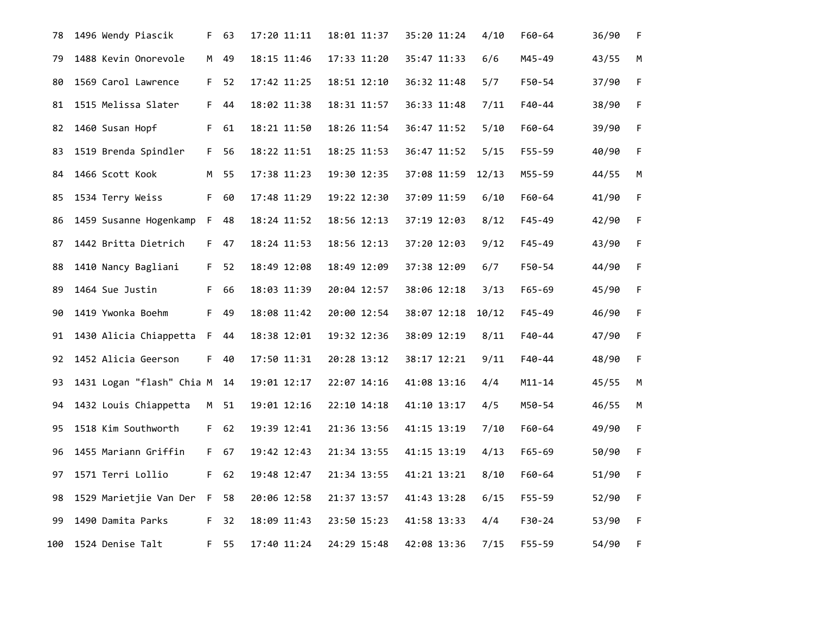| 78  | 1496 Wendy Piascik        | F. | 63   | 17:20 11:11 | 18:01 11:37 | 35:20 11:24 | 4/10  | F60-64     | 36/90 | F.          |
|-----|---------------------------|----|------|-------------|-------------|-------------|-------|------------|-------|-------------|
| 79  | 1488 Kevin Onorevole      | M  | 49   | 18:15 11:46 | 17:33 11:20 | 35:47 11:33 | 6/6   | M45-49     | 43/55 | М           |
| 80  | 1569 Carol Lawrence       |    | F 52 | 17:42 11:25 | 18:51 12:10 | 36:32 11:48 | 5/7   | F50-54     | 37/90 | F           |
| 81  | 1515 Melissa Slater       | F. | 44   | 18:02 11:38 | 18:31 11:57 | 36:33 11:48 | 7/11  | F40-44     | 38/90 | F           |
| 82  | 1460 Susan Hopf           | F. | 61   | 18:21 11:50 | 18:26 11:54 | 36:47 11:52 | 5/10  | F60-64     | 39/90 | F           |
| 83  | 1519 Brenda Spindler      | F. | 56   | 18:22 11:51 | 18:25 11:53 | 36:47 11:52 | 5/15  | F55-59     | 40/90 | $\mathsf F$ |
| 84  | 1466 Scott Kook           | M  | 55   | 17:38 11:23 | 19:30 12:35 | 37:08 11:59 | 12/13 | M55-59     | 44/55 | М           |
| 85  | 1534 Terry Weiss          | F. | 60   | 17:48 11:29 | 19:22 12:30 | 37:09 11:59 | 6/10  | F60-64     | 41/90 | F           |
| 86  | 1459 Susanne Hogenkamp    | F. | 48   | 18:24 11:52 | 18:56 12:13 | 37:19 12:03 | 8/12  | F45-49     | 42/90 | F           |
| 87  | 1442 Britta Dietrich      | F. | 47   | 18:24 11:53 | 18:56 12:13 | 37:20 12:03 | 9/12  | F45-49     | 43/90 | $\mathsf F$ |
| 88  | 1410 Nancy Bagliani       | F. | 52   | 18:49 12:08 | 18:49 12:09 | 37:38 12:09 | 6/7   | F50-54     | 44/90 | F           |
| 89  | 1464 Sue Justin           | F. | 66   | 18:03 11:39 | 20:04 12:57 | 38:06 12:18 | 3/13  | $F65 - 69$ | 45/90 | F           |
| 90  | 1419 Ywonka Boehm         | F. | 49   | 18:08 11:42 | 20:00 12:54 | 38:07 12:18 | 10/12 | $F45 - 49$ | 46/90 | $\mathsf F$ |
| 91  | 1430 Alicia Chiappetta F  |    | 44   | 18:38 12:01 | 19:32 12:36 | 38:09 12:19 | 8/11  | F40-44     | 47/90 | F.          |
| 92  | 1452 Alicia Geerson       | F. | 40   | 17:50 11:31 | 20:28 13:12 | 38:17 12:21 | 9/11  | F40-44     | 48/90 | F           |
| 93  | 1431 Logan "flash" Chia M |    | 14   | 19:01 12:17 | 22:07 14:16 | 41:08 13:16 | 4/4   | M11-14     | 45/55 | M           |
| 94  | 1432 Louis Chiappetta     | M  | 51   | 19:01 12:16 | 22:10 14:18 | 41:10 13:17 | 4/5   | M50-54     | 46/55 | М           |
| 95  | 1518 Kim Southworth       |    | F 62 | 19:39 12:41 | 21:36 13:56 | 41:15 13:19 | 7/10  | F60-64     | 49/90 | F           |
| 96  | 1455 Mariann Griffin      | F. | 67   | 19:42 12:43 | 21:34 13:55 | 41:15 13:19 | 4/13  | $F65 - 69$ | 50/90 | F           |
| 97  | 1571 Terri Lollio         | F. | 62   | 19:48 12:47 | 21:34 13:55 | 41:21 13:21 | 8/10  | F60-64     | 51/90 | F           |
| 98  | 1529 Marietjie Van Der F  |    | 58   | 20:06 12:58 | 21:37 13:57 | 41:43 13:28 | 6/15  | F55-59     | 52/90 | F           |
| 99  | 1490 Damita Parks         | F. | 32   | 18:09 11:43 | 23:50 15:23 | 41:58 13:33 | 4/4   | F30-24     | 53/90 | $\mathsf F$ |
| 100 | 1524 Denise Talt          | F. | 55   | 17:40 11:24 | 24:29 15:48 | 42:08 13:36 | 7/15  | F55-59     | 54/90 | F           |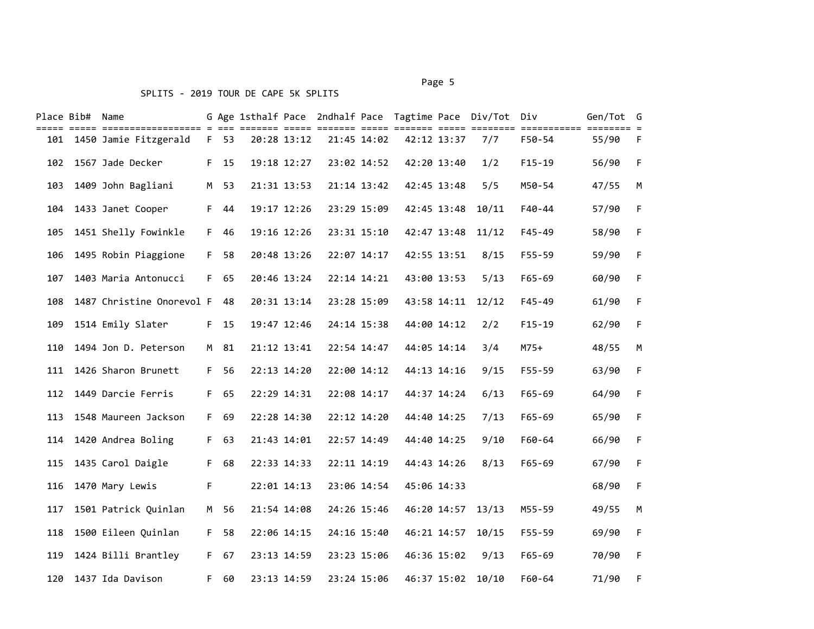#### SPLITS - 2019 TOUR DE CAPE 5K SPLITS

# Place Bib# Name G Age 1sthalf Pace 2ndhalf Pace Tagtime Pace Div/Tot Div Gen/Tot G ===== ===== ================== = === ======= ===== ======= ===== ======= ===== ======== =========== ======== = 101 1450 Jamie Fitzgerald F 53 20:28 13:12 21:45 14:02 42:12 13:37 7/7 F50-54 55/90 F 102 1567 Jade Decker F 15 19:18 12:27 23:02 14:52 42:20 13:40 1/2 F15-19 56/90 F 103 1409 John Bagliani M 53 21:31 13:53 21:14 13:42 42:45 13:48 5/5 M50-54 47/55 M 104 1433 Janet Cooper F 44 19:17 12:26 23:29 15:09 42:45 13:48 10/11 F40-44 57/90 F 105 1451 Shelly Fowinkle F 46 19:16 12:26 23:31 15:10 42:47 13:48 11/12 F45-49 58/90 F 106 1495 Robin Piaggione F 58 20:48 13:26 22:07 14:17 42:55 13:51 8/15 F55-59 59/90 F 107 1403 Maria Antonucci F 65 20:46 13:24 22:14 14:21 43:00 13:53 5/13 F65-69 60/90 F 108 1487 Christine Onorevol F 48 20:31 13:14 23:28 15:09 43:58 14:11 12/12 F45-49 61/90 F 109 1514 Emily Slater F 15 19:47 12:46 24:14 15:38 44:00 14:12 2/2 F15-19 62/90 F 110 1494 Jon D. Peterson M 81 21:12 13:41 22:54 14:47 44:05 14:14 3/4 M75+ 48/55 M 111 1426 Sharon Brunett F 56 22:13 14:20 22:00 14:12 44:13 14:16 9/15 F55-59 63/90 F 112 1449 Darcie Ferris F 65 22:29 14:31 22:08 14:17 44:37 14:24 6/13 F65-69 64/90 F 113 1548 Maureen Jackson F 69 22:28 14:30 22:12 14:20 44:40 14:25 7/13 F65-69 65/90 F 114 1420 Andrea Boling F 63 21:43 14:01 22:57 14:49 44:40 14:25 9/10 F60-64 66/90 F 115 1435 Carol Daigle F 68 22:33 14:33 22:11 14:19 44:43 14:26 8/13 F65-69 67/90 F 116 1470 Mary Lewis F 22:01 14:13 23:06 14:54 45:06 14:33 68/90 F 117 1501 Patrick Quinlan M 56 21:54 14:08 24:26 15:46 46:20 14:57 13/13 M55-59 49/55 M 118 1500 Eileen Quinlan F 58 22:06 14:15 24:16 15:40 46:21 14:57 10/15 F55-59 69/90 F 119 1424 Billi Brantley F 67 23:13 14:59 23:23 15:06 46:36 15:02 9/13 F65-69 70/90 F 120 1437 Ida Davison F 60 23:13 14:59 23:24 15:06 46:37 15:02 10/10 F60-64 71/90 F

Page 5 and 2012 and 2012 and 2012 and 2012 and 2012 and 2012 and 2012 and 2012 and 2012 and 2012 and 2012 and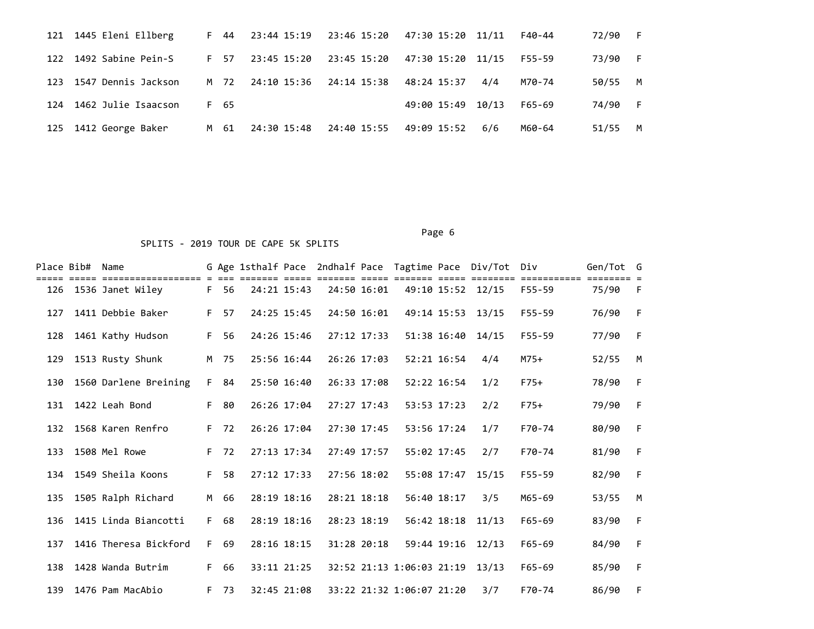| 121 1445 Eleni Ellberg  |      | F 44 23:44 15:19 23:46 15:20 47:30 15:20 11/11 |                                     |                   |     | F40-44 | 72/90 | -F.  |
|-------------------------|------|------------------------------------------------|-------------------------------------|-------------------|-----|--------|-------|------|
| 122 1492 Sabine Pein-S  | F 57 |                                                |                                     |                   |     | F55-59 | 73/90 | $-F$ |
| 123 1547 Dennis Jackson |      | M 72 24:10 15:36 24:14 15:38 48:24 15:37       |                                     |                   | 4/4 | M70-74 | 50/55 | M    |
| 124 1462 Julie Isaacson | F 65 |                                                |                                     | 49:00 15:49 10/13 |     | F65-69 | 74/90 | $-F$ |
| 125 1412 George Baker   | M 61 |                                                | 24:30 15:48 24:40 15:55 49:09 15:52 |                   | 6/6 | M60-64 | 51/55 | M    |

## Page 6 and the contract of the contract of the contract of the contract of the contract of the contract of the

## SPLITS - 2019 TOUR DE CAPE 5K SPLITS

|     | Place Bib# Name | =================     |    |      |             |             |                           |             | G Age 1sthalf Pace 2ndhalf Pace Tagtime Pace Div/Tot Div |            | Gen/Tot G |   |
|-----|-----------------|-----------------------|----|------|-------------|-------------|---------------------------|-------------|----------------------------------------------------------|------------|-----------|---|
| 126 |                 | 1536 Janet Wiley      | F. | 56   | 24:21 15:43 | 24:50 16:01 |                           |             | 49:10 15:52 12/15                                        | $F55 - 59$ | 75/90     | F |
| 127 |                 | 1411 Debbie Baker     | F. | 57   | 24:25 15:45 | 24:50 16:01 |                           |             | 49:14 15:53 13/15                                        | F55-59     | 76/90     | F |
| 128 |                 | 1461 Kathy Hudson     | F. | 56   | 24:26 15:46 | 27:12 17:33 |                           | 51:38 16:40 | 14/15                                                    | F55-59     | 77/90     | F |
| 129 |                 | 1513 Rusty Shunk      |    | M 75 | 25:56 16:44 | 26:26 17:03 |                           | 52:21 16:54 | 4/4                                                      | $M75+$     | 52/55     | M |
| 130 |                 | 1560 Darlene Breining | F. | 84   | 25:50 16:40 | 26:33 17:08 |                           | 52:22 16:54 | 1/2                                                      | $F75+$     | 78/90     | F |
| 131 |                 | 1422 Leah Bond        | F. | 80   | 26:26 17:04 | 27:27 17:43 |                           | 53:53 17:23 | 2/2                                                      | $F75+$     | 79/90     | F |
| 132 |                 | 1568 Karen Renfro     | F. | 72   | 26:26 17:04 | 27:30 17:45 |                           | 53:56 17:24 | 1/7                                                      | F70-74     | 80/90     | F |
| 133 |                 | 1508 Mel Rowe         | F  | 72   | 27:13 17:34 | 27:49 17:57 |                           | 55:02 17:45 | 2/7                                                      | F70-74     | 81/90     | F |
|     |                 | 134 1549 Sheila Koons | F  | 58   | 27:12 17:33 | 27:56 18:02 |                           | 55:08 17:47 | 15/15                                                    | $F55 - 59$ | 82/90     | F |
| 135 |                 | 1505 Ralph Richard    | M  | 66   | 28:19 18:16 | 28:21 18:18 |                           | 56:40 18:17 | 3/5                                                      | M65-69     | 53/55     | M |
| 136 |                 | 1415 Linda Biancotti  | F. | 68   | 28:19 18:16 | 28:23 18:19 |                           | 56:42 18:18 | 11/13                                                    | $F65 - 69$ | 83/90     | F |
| 137 |                 | 1416 Theresa Bickford | F. | 69   | 28:16 18:15 | 31:28 20:18 |                           | 59:44 19:16 | 12/13                                                    | $F65 - 69$ | 84/90     | F |
| 138 |                 | 1428 Wanda Butrim     | F. | 66   | 33:11 21:25 |             | 32:52 21:13 1:06:03 21:19 |             | 13/13                                                    | $F65 - 69$ | 85/90     | F |
| 139 |                 | 1476 Pam MacAbio      | F. | 73   | 32:45 21:08 |             | 33:22 21:32 1:06:07 21:20 |             | 3/7                                                      | F70-74     | 86/90     | F |